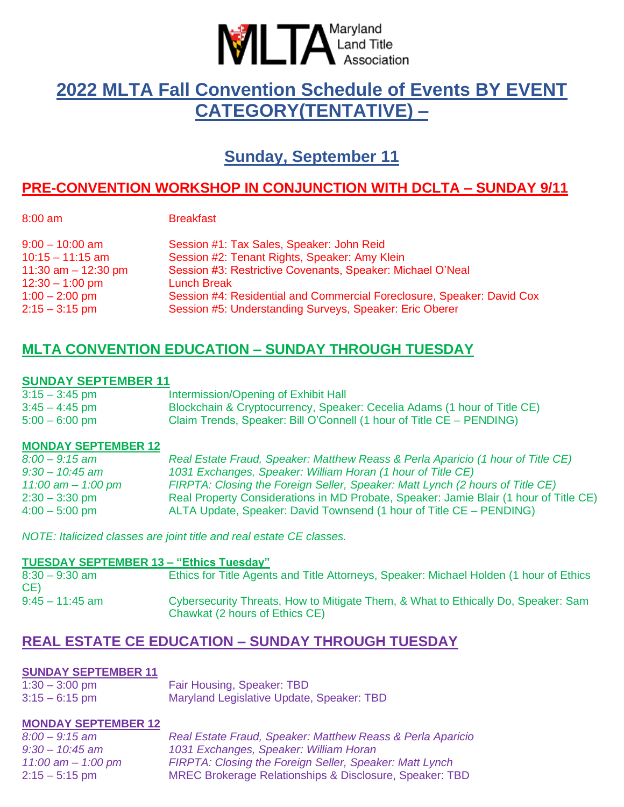

# **2022 MLTA Fall Convention Schedule of Events BY EVENT CATEGORY(TENTATIVE) –**

**Sunday, September 11**

## **PRE-CONVENTION WORKSHOP IN CONJUNCTION WITH DCLTA – SUNDAY 9/11**

|  | × |  |
|--|---|--|

**Breakfast** 

| $9:00 - 10:00$ am     | Session #1: Tax Sales, Speaker: John Reid                              |
|-----------------------|------------------------------------------------------------------------|
| $10:15 - 11:15$ am    | Session #2: Tenant Rights, Speaker: Amy Klein                          |
| 11:30 am $-$ 12:30 pm | Session #3: Restrictive Covenants, Speaker: Michael O'Neal             |
| $12:30 - 1:00$ pm     | <b>Lunch Break</b>                                                     |
| $1:00 - 2:00$ pm      | Session #4: Residential and Commercial Foreclosure, Speaker: David Cox |
| $2:15 - 3:15$ pm      | Session #5: Understanding Surveys, Speaker: Eric Oberer                |

## **MLTA CONVENTION EDUCATION – SUNDAY THROUGH TUESDAY**

## **SUNDAY SEPTEMBER 11**

| $3:15 - 3:45$ pm | Intermission/Opening of Exhibit Hall                                     |
|------------------|--------------------------------------------------------------------------|
| $3:45 - 4:45$ pm | Blockchain & Cryptocurrency, Speaker: Cecelia Adams (1 hour of Title CE) |
| $5:00 - 6:00$ pm | Claim Trends, Speaker: Bill O'Connell (1 hour of Title CE - PENDING)     |

## **MONDAY SEPTEMBER 12**

| $8:00 - 9:15$ am     | Real Estate Fraud, Speaker: Matthew Reass & Perla Aparicio (1 hour of Title CE)       |
|----------------------|---------------------------------------------------------------------------------------|
| $9:30 - 10:45$ am    | 1031 Exchanges, Speaker: William Horan (1 hour of Title CE)                           |
| 11:00 am $-$ 1:00 pm | FIRPTA: Closing the Foreign Seller, Speaker: Matt Lynch (2 hours of Title CE)         |
| $2:30 - 3:30$ pm     | Real Property Considerations in MD Probate, Speaker: Jamie Blair (1 hour of Title CE) |
| $4:00 - 5:00$ pm     | ALTA Update, Speaker: David Townsend (1 hour of Title CE – PENDING)                   |

*NOTE: Italicized classes are joint title and real estate CE classes.*

#### **TUESDAY SEPTEMBER 13 – "Ethics Tuesday"**

| $8:30 - 9:30$ am<br>CE) | Ethics for Title Agents and Title Attorneys, Speaker: Michael Holden (1 hour of Ethics                              |
|-------------------------|---------------------------------------------------------------------------------------------------------------------|
| $9:45 - 11:45$ am       | Cybersecurity Threats, How to Mitigate Them, & What to Ethically Do, Speaker: Sam<br>Chawkat (2 hours of Ethics CE) |

## **REAL ESTATE CE EDUCATION – SUNDAY THROUGH TUESDAY**

## **SUNDAY SEPTEMBER 11**

| $1:30 - 3:00$ pm | Fair Housing, Speaker: TBD                |
|------------------|-------------------------------------------|
| $3:15 - 6:15$ pm | Maryland Legislative Update, Speaker: TBD |

## **MONDAY SEPTEMBER 12**

| $8:00 - 9:15$ am     | Real Estate Fraud, Speaker: Matthew Reass & Perla Aparicio |
|----------------------|------------------------------------------------------------|
| $9:30 - 10:45$ am    | 1031 Exchanges, Speaker: William Horan                     |
| 11:00 am $-$ 1:00 pm | FIRPTA: Closing the Foreign Seller, Speaker: Matt Lynch    |
| $2:15 - 5:15$ pm     | MREC Brokerage Relationships & Disclosure, Speaker: TBD    |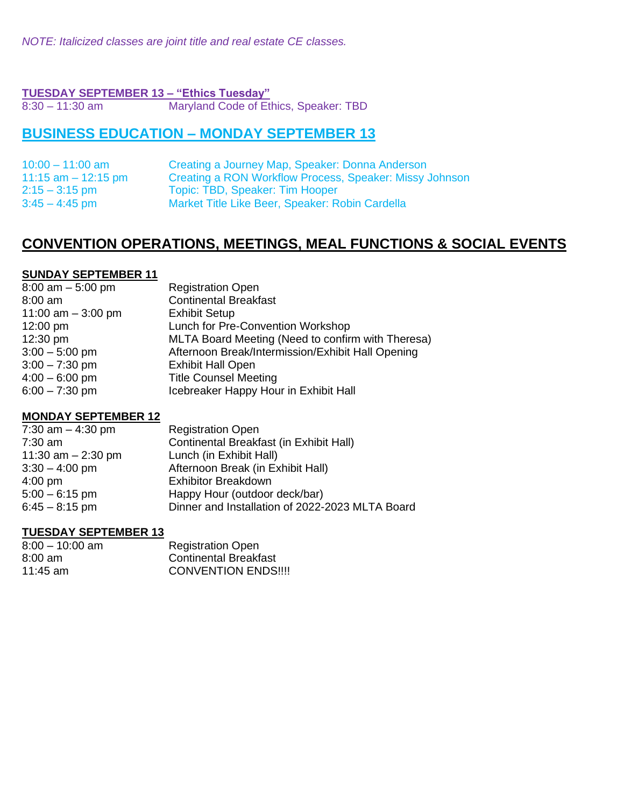*NOTE: Italicized classes are joint title and real estate CE classes.*

#### **TUESDAY SEPTEMBER 13 – "Ethics Tuesday"**

8:30 – 11:30 am Maryland Code of Ethics, Speaker: TBD

## **BUSINESS EDUCATION – MONDAY SEPTEMBER 13**

| $10:00 - 11:00$ am    | Creating a Journey Map, Speaker: Donna Anderson         |
|-----------------------|---------------------------------------------------------|
| 11:15 $am - 12:15$ pm | Creating a RON Workflow Process, Speaker: Missy Johnson |
| $2:15 - 3:15$ pm      | Topic: TBD, Speaker: Tim Hooper                         |
| $3:45 - 4:45$ pm      | Market Title Like Beer, Speaker: Robin Cardella         |

## **CONVENTION OPERATIONS, MEETINGS, MEAL FUNCTIONS & SOCIAL EVENTS**

#### **SUNDAY SEPTEMBER 11**

| $8:00$ am $-5:00$ pm | <b>Registration Open</b>                          |
|----------------------|---------------------------------------------------|
| $8:00$ am            | <b>Continental Breakfast</b>                      |
| 11:00 am $-$ 3:00 pm | <b>Exhibit Setup</b>                              |
| 12:00 pm             | Lunch for Pre-Convention Workshop                 |
| $12:30 \text{ pm}$   | MLTA Board Meeting (Need to confirm with Theresa) |
| $3:00 - 5:00$ pm     | Afternoon Break/Intermission/Exhibit Hall Opening |
| $3:00 - 7:30$ pm     | <b>Exhibit Hall Open</b>                          |
| $4:00 - 6:00$ pm     | <b>Title Counsel Meeting</b>                      |
| $6:00 - 7:30$ pm     | Icebreaker Happy Hour in Exhibit Hall             |
|                      |                                                   |

## **MONDAY SEPTEMBER 12**

| 7:30 am $-$ 4:30 pm  | <b>Registration Open</b>                        |
|----------------------|-------------------------------------------------|
| $7:30$ am            | Continental Breakfast (in Exhibit Hall)         |
| 11:30 am $- 2:30$ pm | Lunch (in Exhibit Hall)                         |
| $3:30 - 4:00$ pm     | Afternoon Break (in Exhibit Hall)               |
| $4:00$ pm            | <b>Exhibitor Breakdown</b>                      |
| $5:00 - 6:15$ pm     | Happy Hour (outdoor deck/bar)                   |
| $6:45 - 8:15$ pm     | Dinner and Installation of 2022-2023 MLTA Board |

## **TUESDAY SEPTEMBER 13**

| $8:00 - 10:00$ am | <b>Registration Open</b>     |
|-------------------|------------------------------|
| $8:00 \text{ am}$ | <b>Continental Breakfast</b> |
| 11:45 am          | <b>CONVENTION ENDS!!!!</b>   |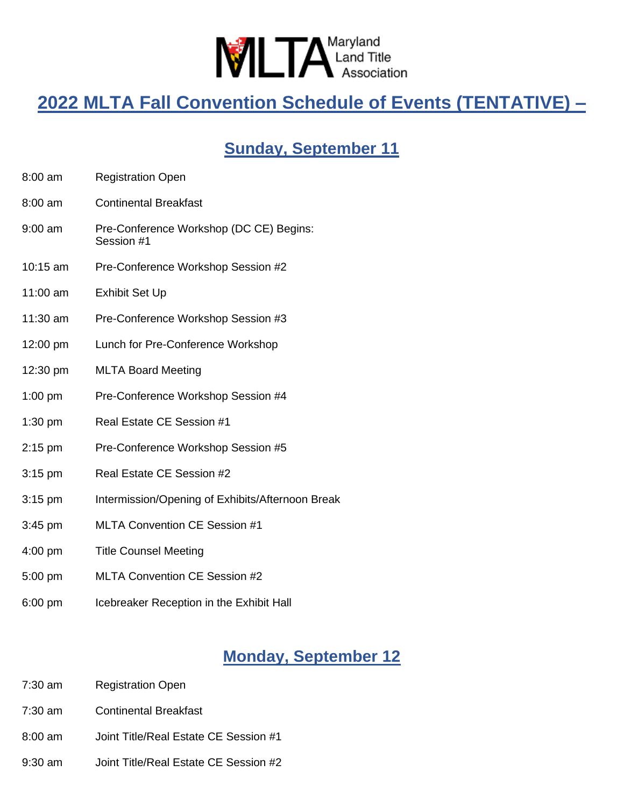

# **2022 MLTA Fall Convention Schedule of Events (TENTATIVE) –**

# **Sunday, September 11**

- 8:00 am Registration Open
- 8:00 am Continental Breakfast
- 9:00 am Pre-Conference Workshop (DC CE) Begins: Session #1
- 10:15 am Pre-Conference Workshop Session #2
- 11:00 am Exhibit Set Up
- 11:30 am Pre-Conference Workshop Session #3
- 12:00 pm Lunch for Pre-Conference Workshop
- 12:30 pm MLTA Board Meeting
- 1:00 pm Pre-Conference Workshop Session #4
- 1:30 pm Real Estate CE Session #1
- 2:15 pm Pre-Conference Workshop Session #5
- 3:15 pm Real Estate CE Session #2
- 3:15 pm Intermission/Opening of Exhibits/Afternoon Break
- 3:45 pm MLTA Convention CE Session #1
- 4:00 pm Title Counsel Meeting
- 5:00 pm MLTA Convention CE Session #2
- 6:00 pm Icebreaker Reception in the Exhibit Hall

## **Monday, September 12**

- 7:30 am Registration Open
- 7:30 am Continental Breakfast
- 8:00 am Joint Title/Real Estate CE Session #1
- 9:30 am Joint Title/Real Estate CE Session #2